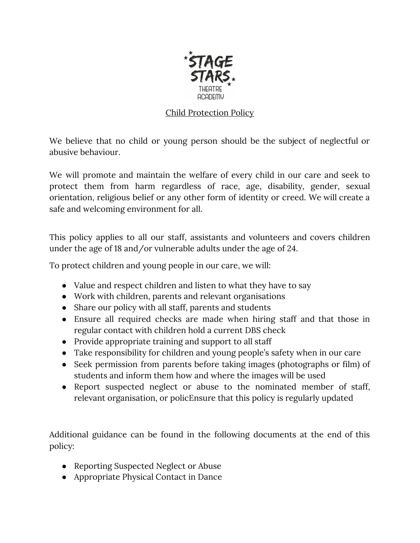

## Child Protection Policy

We believe that no child or young person should be the subject of neglectful or abusive behaviour.

We will promote and maintain the welfare of every child in our care and seek to protect them from harm regardless of race, age, disability, gender, sexual orientation, religious belief or any other form of identity or creed. We will create a safe and welcoming environment for all.

This policy applies to all our staff, assistants and volunteers and covers children under the age of 18 and/or vulnerable adults under the age of 24.

To protect children and young people in our care, we will:

- Value and respect children and listen to what they have to say
- Work with children, parents and relevant organisations
- Share our policy with all staff, parents and students
- Ensure all required checks are made when hiring staff and that those in regular contact with children hold a current DBS check
- Provide appropriate training and support to all staff
- Take responsibility for children and young people's safety when in our care
- Seek permission from parents before taking images (photographs or film) of students and inform them how and where the images will be used
- Report suspected neglect or abuse to the nominated member of staff, relevant organisation, or policEnsure that this policy is regularly updated

Additional guidance can be found in the following documents at the end of this policy:

- Reporting Suspected Neglect or Abuse
- Appropriate Physical Contact in Dance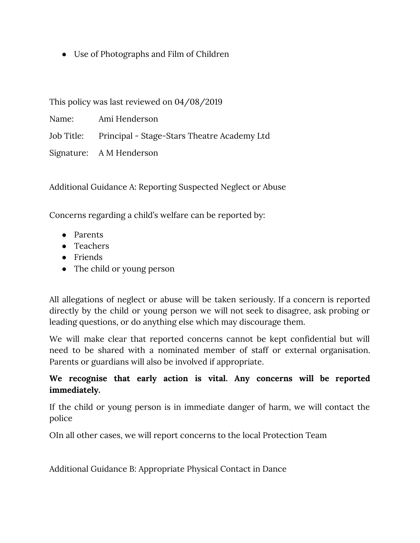• Use of Photographs and Film of Children

This policy was last reviewed on 04/08/2019

Name: Ami Henderson

Job Title: Principal - Stage-Stars Theatre Academy Ltd

Signature: A M Henderson

Additional Guidance A: Reporting Suspected Neglect or Abuse

Concerns regarding a child's welfare can be reported by:

- Parents
- Teachers
- Friends
- The child or young person

All allegations of neglect or abuse will be taken seriously. If a concern is reported directly by the child or young person we will not seek to disagree, ask probing or leading questions, or do anything else which may discourage them.

We will make clear that reported concerns cannot be kept confidential but will need to be shared with a nominated member of staff or external organisation. Parents or guardians will also be involved if appropriate.

## **We recognise that early action is vital. Any concerns will be reported immediately.**

If the child or young person is in immediate danger of harm, we will contact the police

OIn all other cases, we will report concerns to the local Protection Team

Additional Guidance B: Appropriate Physical Contact in Dance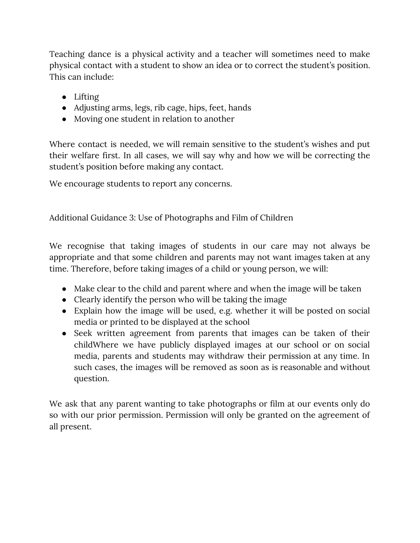Teaching dance is a physical activity and a teacher will sometimes need to make physical contact with a student to show an idea or to correct the student's position. This can include:

- Lifting
- Adjusting arms, legs, rib cage, hips, feet, hands
- Moving one student in relation to another

Where contact is needed, we will remain sensitive to the student's wishes and put their welfare first. In all cases, we will say why and how we will be correcting the student's position before making any contact.

We encourage students to report any concerns.

Additional Guidance 3: Use of Photographs and Film of Children

We recognise that taking images of students in our care may not always be appropriate and that some children and parents may not want images taken at any time. Therefore, before taking images of a child or young person, we will:

- Make clear to the child and parent where and when the image will be taken
- Clearly identify the person who will be taking the image
- Explain how the image will be used, e.g. whether it will be posted on social media or printed to be displayed at the school
- Seek written agreement from parents that images can be taken of their childWhere we have publicly displayed images at our school or on social media, parents and students may withdraw their permission at any time. In such cases, the images will be removed as soon as is reasonable and without question.

We ask that any parent wanting to take photographs or film at our events only do so with our prior permission. Permission will only be granted on the agreement of all present.